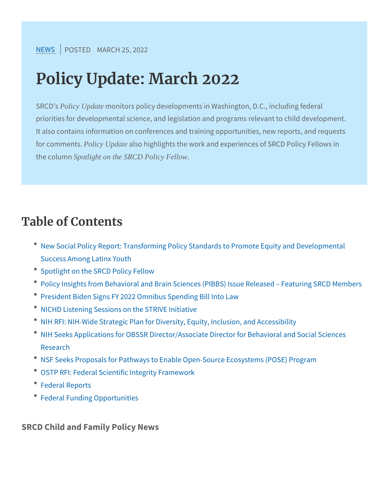[NEW](https://www.srcd.org/news)SPOSTEMDARCH 25, 2022

# Policy Update: March 2022

SRC Policy Update monitors policy developments in Washington, D.C., priorities for developmental science, and legislation and program It also contains information on conferences and training opportu for commPoblicty SUpdate also highlights the work and experiences of SR the colsportlight on the SRCD Policy Fellow.

# Table of Contents

- \* New Social Policy Report: Transforming Policy Standards to Pro Success Among Latinx Youth
- Spotlight on the SRCD Policy Fellow
- Policy Insights from Behavioral and Brain Sciences (PIBBS) Iss
- President Biden Signs FY 2022 Omnibus Spending Bill Into Law
- NICHD Listening Sessions on the STRIVE Initiative
- \* NIH RFI: NIH-Wide Strategic Plan for Diversity, Equity, Inclusion,
- \* NIH Seeks Applications for OBSSR Director/Associate Director f Research
- <sup>.</sup> NSF Seeks Proposals for Pathways to Enable Open-Source Ecos
- OSTP RFI: Federal Scientific Integrity Framework
- Federal Reports
- Federal Funding Opportunities

SRCD Child and Family Policy News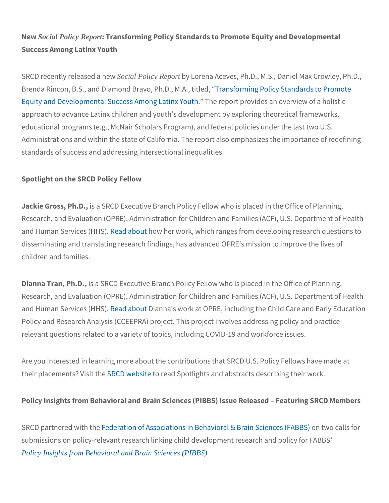Ne Social Policy Report Transforming Policy Standards to Promote Equity a Success Among Latinx Youth

SRCD recently re**Beedaad Policya Repeow**tby Lorena Aceves, Ph.D., M.S., Danie Brenda Rincon, B.S., and Diamond BTrraavnos, for Prim Dn.g MolAic, ytistitud dards t [Equity and Developmental Succe](http://send.srcd.org/link.cfm?r=gODwiyBT3eY6bLrA7DxAnw~~&pe=PU702RB-iKz32dZyRBHnChCh76WE3ZyqNYsxA3WMmAytZC5OxcLJ1Rwhh39_ZdNJpfC4WxSAmNfwyr-C3eUBxw~~&t=INSERT_TRACKING_ENCID)ss TAmeonegp battipinxo Wioduetsh an overview approach to advance Latinx children and youth s development by ex educational programs (e.g., McNair Scholars Program), and federal Administrations and within the state of California. The report also standards of success and addressing intersectional inequalities.

Spotlight on the SRCD Policy Fellow

Jackie Gross, is Pa. BR, CD Executive Branch Policy Fellow who is plac Research, and Evaluation (OPRE), Administration for Children and and Human Service ad (Habbouw her work, which ranges from developing disseminating and translating research findings, has advanced OPR children and families.

Dianna Tran, is Ph. BR, CD Executive Branch Policy Fellow who is place Research, and Evaluation (OPRE), Administration for Children and and Human Service ad (Habloistinna s work at OPRE, including the Child Policy and Research Analysis (CCEEPRA) project. This project invo relevant questions related to a variety of topics, including COVID-1

Are you interested in learning more about the contributions that SR their placement SRCD iwe bositead Spotlights and abstracts describing

Policy Insights from Behavioral and Brain Sciences (PIBBS) Issue F

SRCD partnere **F**ewdiethathoen of Associations in Behavioraln& twBoradial Ssci submissions on policy-relevant research linking child development [Policy Insights from Behavioral and Brain Sciences \(PIB](http://send.srcd.org/link.cfm?r=gODwiyBT3eY6bLrA7DxAnw~~&pe=d8i7fOv8HoZAX9uZJe03taKLLd1uS28d1m9iKrSX7hQTeAqDvwuhddKBI9QNcmA0nXuYMaiGsj9ugXquvi1eeg~~&t=INSERT_TRACKING_ENCID)BS)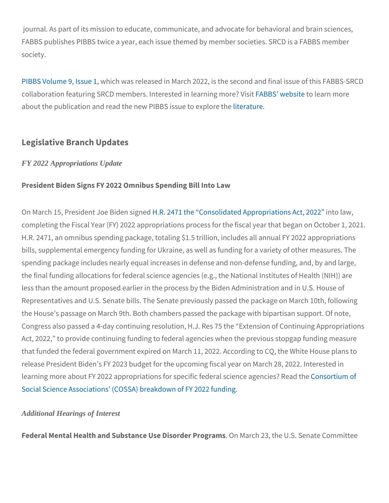journal. As part of its mass minounticate ducanted, advocate for behavioral FABBS publishes PIBBS twice a year, each issue themed by member society.

[PIBBS Volume](http://send.srcd.org/link.cfm?r=gODwiyBT3eY6bLrA7DxAnw~~&pe=eEeaBnV5Irf5S1gJ_qT_987X6SCM-bOrA0ZSDD6jD3MebNRkrCvqNI8bGLt9yAqpKECCIaHp5rQQ6QcggWjUrg~~&t=INSERT_TRACKING_ENCID) 9, his buwas, released in March 2022, is the second and collaboration featuring SRCD members. InteFrAeBs BeSd innel bestate a ring moro ee about the publication and read the new **REB BtS is** sue to explore the

Legislative Branch Updates

FY 2022 Appropriations Update

President Biden Signs FY 2022 Omnibus Spending Bill Into Law

On March 15, President Hole. B247em shigene Colonsolidated Appirot porilaativions completing the Fiscal Year (FY) 2022 appropriations process for the H.R. 2471, an omnibus spending package, totaling \$1.5 trillion, inc bills, supplemental emergency funding for Ukraine, as well as fundi spending package includes nearly equal increases in defense and n the final funding allocations for federal science agencies (e.g., the less than the amount proposed earlier in the process by the Biden. Representatives and U.S. Senate bills. The Senate previously pass the House s passage on March 9th. Both chambers passed the pack Congress also passed a 4-day continuing resolution, H.J. Res 75 th Act, 2022, to provide continuing funding to federal agencies when that funded the federal government expired on March 11, 2022. Acc release President Biden s FY 2023 budget for the upcoming fiscal y learning more about FY 2022 appropriations for speciCioenfseod teinuam socfi Social Science Associations (COSSA) breakdown of FY 2022 fundir

Additional Hearings of Interest

Federal Mental Health and Substance .UGe Miasnochd 2n3 Ptheyrbin Ss. Senat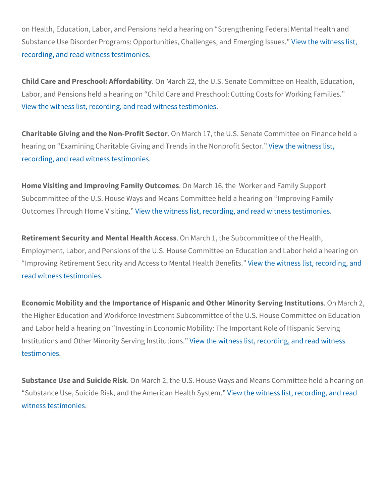on Health, Education, Labor, and Pensions held a hearing on Stren Substance Use Disorder Programs: Opportunities, *VG* ballten regastnærsd [recording, and read wit](http://send.srcd.org/link.cfm?r=gODwiyBT3eY6bLrA7DxAnw~~&pe=psGhkAlbBsOkZ7O9_TjhePFW_vkUGNWu-XEoCWTs58t2XJ1JB379tUz_k3Li44P2enKA3IuITIEpY8M43Xo4Tw~~&t=INSERT_TRACKING_ENCID)ness testimonies .

Child Care and Preschool: OAff Noardcahbild 2ty the U.S. Senate Committee Labor, and Pensions held a hearing on Child Care and Preschool: [View the witness list, recording, an](http://send.srcd.org/link.cfm?r=gODwiyBT3eY6bLrA7DxAnw~~&pe=VNpTnKKrxDIR2dZk69Ovv10UA9_eaqLAEN2qzN2Eh1B6Glh1cTIYBHxZS5RSwavDVtJxLY-TPhpozR7p65W3rg~~&t=INSERT_TRACKING_ENCID)d read witness testimonies .

Charitable Giving and the NoOn-PMafrich Stector he U.S. Senate Committe hearing on Examining Charitable Giving and View dthe in witten enterniest of [recording, and read wit](http://send.srcd.org/link.cfm?r=gODwiyBT3eY6bLrA7DxAnw~~&pe=-PuG1fFKU9TpZhvw5d0BqihYdJQt23m7OQjGoFmjpn02tQtrNuetOzUOK_kGeAjJ1wQAAmYcB_ct2G7jjIKnjw~~&t=INSERT_TRACKING_ENCID)ness testimonies .

Home Visiting and Improving .F@miMya©ouhtc1o6m, etshe Worker and Family Subcommittee of the U.S. House Ways and Means Committee held a Outcomes Through HoVmiew Vibetiw gtness list, recording, and read witn

Retirement Security and MentaOnHMaalntoh A1c, celses Subcommittee of the Employment, Labor, and Pensions of the U.S. House Committee on Improving Retirement Security and Accessitow Mentalthess this Benefor [read witness te](http://send.srcd.org/link.cfm?r=gODwiyBT3eY6bLrA7DxAnw~~&pe=Tl7RE5EkqkhMlCpZStrGN84xYu25qbZAK5wxwkQdL9b7PrDXz4eu_-sCFFIwIG2yY6dK-FcDiVKcHu-jcmdC9Q~~&t=INSERT_TRACKING_ENCID)stimonies .

Economic Mobility and the Importance of Hispanic and Other MManochi the Higher Education and Workforce Investment Subcommittee of th and Labor held a hearing on Investing in Economic Mobility: The Im Institutions and Other Minority **Sie** wwitch in stations in the cording, and [testimo](http://send.srcd.org/link.cfm?r=gODwiyBT3eY6bLrA7DxAnw~~&pe=sfKxjE2gULZKe7sDc29tbtEmtH0FTeAOX0oshvxenbxr9DM0i_QzeRtugCVi0d9VMosaU7qpF9WDGZcRCEHCfg~~&t=INSERT_TRACKING_ENCID)nies .

Substance Use and SOinciMerRhsR, the U.S. House Ways and Means C Substance Use, Suicide Risk, and the V Alenwe the ear awill Hine as the I Bsyts the ention of di [witness test](http://send.srcd.org/link.cfm?r=gODwiyBT3eY6bLrA7DxAnw~~&pe=gtriA5YKl2yfaG6-qe0Ta8hW_kkELk947zYlGTMwLRxPY144RlQo5GiX7hOz8HsA1xbEKR1Vmj2T-sPdi5uGwQ~~&t=INSERT_TRACKING_ENCID)imonies .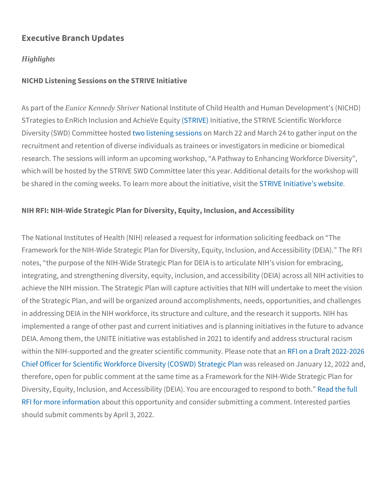### Executive Branch Updates

#### **Highlights**

NICHD Listening Sessions on the STRIVE Initiative

As part Foutnicth Keennedy ShriverNational Institute of Child Health and Human STrategies to EnRich Inclusion S and VAE Chiae Mee, Etchueit STRIVE Scientific Diversity (SWD) Committering the original tensor of the sessions of March 24 to gather input on the input of the set of the set of the set of the set of a set of the set of the set of the set of the set of the set of the s recruitment and retention of diverse individuals as trainees or inve research. The sessions will inform an upcoming workshop, A Pathw which will be hosted by the STRIVE SWD Committee later this year. be shared in the coming weeks. To learn mo**SeT RalbVoEutInihte aitnixte astiwee**, b

NIH RFI: NIH-Wide Strategic Plan for Diversity, Equity, Inclusion, and

The National Institutes of Health (NIH) released a request for infor Framework for the NIH-Wide Strategic Plan for Diversity, Equity, In notes, the purpose of the NIH-Wide Strategic Plan for DEIA is to a integrating, and strengthening diversity, equity, inclusion, and acc achieve the NIH mission. The Strategic Plan will capture activities of the Strategic Plan, and will be organized around accomplishment in addressing DEIA in the NIH workforce, its structure and culture, implemented a range of other past and current initiatives and is pla DEIA. Among them, the UNITE initiative was established in 2021 to within the NIH-supported and the greater scientific community fit PlOe2 [Chief Officer for Scientific Workforce Di](http://send.srcd.org/link.cfm?r=gODwiyBT3eY6bLrA7DxAnw~~&pe=9POppDHvMWepAI_mryzEzDanzbvBFicrHYQQ49e5UFr-5DaCz0w0U5J8JJG4HRxm8pe2s9FwoQmeO57tHlRCAg~~&t=INSERT_TRACKING_ENCID)verassity (CaCs&WD) Starategy c1 therefore, open for public comment at the same time as a Framewor Diversity, Equity, Inclusion, and Accessibility (DEIA). **Neadathee efrud to respond to respond to a** [RFI for more in](http://send.srcd.org/link.cfm?r=gODwiyBT3eY6bLrA7DxAnw~~&pe=jLwuS0x71VNmASj0uQhZzWFg1PiqSJmO0gf6XIRhgj1YPtEbsTaPohMv9LUHXMOsT02A3SUZkVZKe3n0LNpAQA~~&t=INSERT_TRACKING_ENCID)fadoromunt this opportunity and consider submitting a comment. should submit comments by April 3, 2022.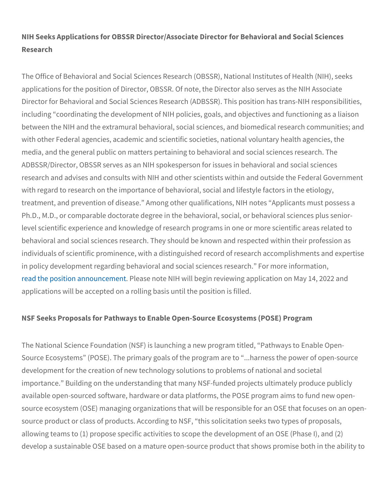NIH Seeks Applications for OBSSR Director/Associate Director for I Research

The Office of Behavioral and Social Sciences Research (OBSSR), N applications for the position of Director, OBSSR. Of note, the Direc Director for Behavioral and Social Sciences Research (ADBSSR). This position of including coordinating the development of NIH policies, goals, and between the NIH and the extramural behavioral, social sciences, and with other Federal agencies, academic and scientific societies, nat media, and the general public on matters pertaining to behavioral a ADBSSR/Director, OBSSR serves as an NIH spokesperson for issues research and advises and consults with NIH and other scientists wi with regard to research on the importance of behavioral, social and treatment, and prevention of disease. Among other qualifications, Ph.D., M.D., or comparable doctorate degree in the behavioral, soc level scientific experience and knowledge of research programs in behavioral and social sciences research. They should be known and individuals of scientific prominence, with a distinguished record of in policy development regarding behavioral and social sciences res [read the position a](http://send.srcd.org/link.cfm?r=gODwiyBT3eY6bLrA7DxAnw~~&pe=LyP_3pPCh3pqlLf5ZQj_C8n8dJB1s-kcymHQkRVJmTIXrutBdh1cch9DUkHST-xMK89Po-mqDugMoKxsMqTH6g~~&t=INSERT_TRACKING_ENCID)nnPoluenassement te NIH will begin reviewing application applications will be accepted on a rolling basis until the position is

NSF Seeks Proposals for Pathways to Enable Open-Source Ecosyste

The National Science Foundation (NSF) is launching a new program Source Ecosystems (POSE). The primary goals of the program are development for the creation of new technology solutions to proble importance. Building on the understanding that many NSF-funded p available open-sourced software, hardware or data platforms, the P source ecosystem (OSE) managing organizations that will be respor source product or class of products. According to NSF, this solicit allowing teams to (1) propose specific activities to scope the devel develop a sustainable OSE based on a mature open-source product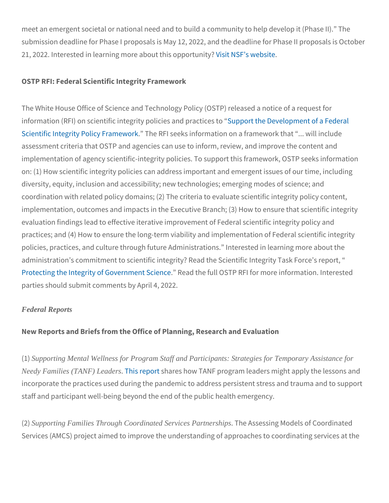meet an emergent societal or national need and to build a communi submission deadline for Phase I proposals is May 12, 2022, and the 21, 2022. Interested in learning morVeisaibloNuSS Filhais woepbyssiotretunity?

OSTP RFI: Federal Scientific Integrity Framework

The White House Office of Science and Technology Policy (OSTP) re information (RFI) on scientific integritSyuppolictiets eanDet werke continueenst toof a [Scientific Integrity Po](http://send.srcd.org/link.cfm?r=gODwiyBT3eY6bLrA7DxAnw~~&pe=rjhaHbP6zwWbU7XzNv1VCE2Ip0drqaSRvVdDUPljpSHIZET1Y5NFsOT8KXQs7rQtbGWvl1HtH7ttbTfawG_PSw~~&t=INSERT_TRACKING_ENCID)licTyhe Frameworks information on a framework that ... where  $\alpha$ assessment criteria that OSTP and agencies can use to inform, revi implementation of agency scientific-integrity policies. To support th on: (1) How scientific integrity policies can address important and diversity, equity, inclusion and accessibility; new technologies; em coordination with related policy domains; (2) The criteria to evalua implementation, outcomes and impacts in the Executive Branch; (3) evaluation findings lead to effective iterative improvement of Feder practices; and (4) How to ensure the long-term viability and implem policies, practices, and culture through future Administrations. Int administration s commitment to scientific integrity? Read the Scien [Protecting the Integrity of G](http://send.srcd.org/link.cfm?r=gODwiyBT3eY6bLrA7DxAnw~~&pe=_walfB_x_YjN470gnb91YtNRFopJn_sc4ccf-WWyUnJaYb9VCY0pdsPBbdXoWn5CLZqRI7ByDaybTi0-a3Qn_w~~&t=INSERT_TRACKING_ENCID)ovReerand the Suclile OGETP RFI for more infor parties should submit comments by April 4, 2022.

#### Federal Reports

New Reports and Briefs from the Office of Planning, Research and

(1Supporting Mental Wellness for Program Staff and Participants: Strategies for Temporary Assistance for Needy Families (TANF) Leaders his repotatres how TANF program leaders might incorporate the practices used during the pandemic to address pers staff and participant well-being beyond the end of the public health

(2Supporting Families Through Coordinated Services Partnershipshe Assessing Models of Co Services (AMCS) project aimed to improve the understanding of app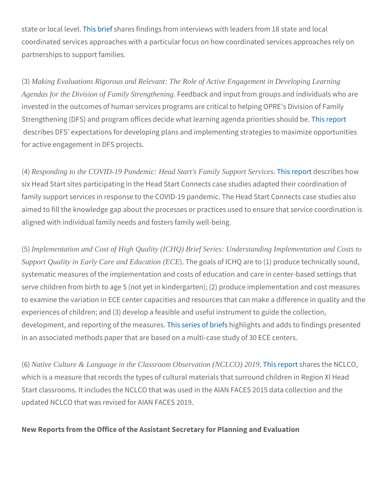state or local lise beleartes findings from interviews with leaders from coordinated services approaches with a particular focus on how coordinated services approaches with a particular partnerships to support families.

(3) Making Evaluations Rigorous and Relevant: The Role of Active Engagement in Developing Learning Agendas for the Division of Family Strengthening Feedback and input from groups and i invested in the outcomes of human services programs are critical to Strengthening (DFS) and program offices decide what The is roming rader describes DFS expectations for developing plans and implementin for active engagement in DFS projects.

(4Responding to the COVID-19 Pandemic: Head Start's Family Support Services replest cribes how six Head Start sites participating in the Head Start Connects case family support services in response to the COVID-19 pandemic. The aimed to fill the knowledge gap about the processes or practices us aligned with individual family needs and fosters family well-being.

(5) Implementation and Cost of High Quality (ICHQ) Brief Series: Understanding Implementation and Costs to Support Quality in Early Care and Education (ECE The goals of ICHQ are to (1) produc systematic measures of the implementation and costs of education serve children from birth to age 5 (not yet in kindergarten); (2) pro to examine the variation in ECE center capacities and resources th experiences of children; and (3) develop a feasible and useful insti development, and reporting The fistis **e**r meesa is unique missing firsts and adds to findin in an associated methods paper that are based on a multi-case stud

(6) 6) 6) 6) 6) At ive Culture & Language in the Classroom Observation (NCLCO)  $2\overline{0}$  the  $s$  for  $s$  the NCLC which is a measure that records the types of cultural materials that Start classrooms. It includes the NCLCO that was used in the AIAN updated NCLCO that was revised for AIAN FACES 2019.

New Reports from the Office of the Assistant Secretary for Planning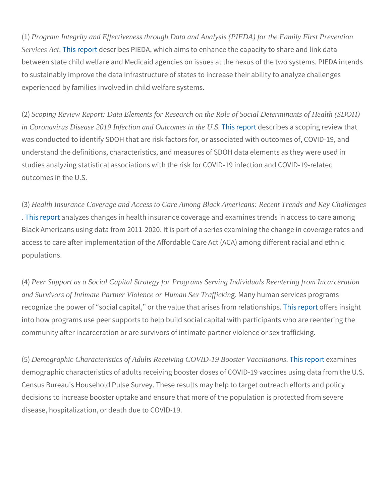(1) 1Program Integrity and Effectiveness through Data and Analysis (PIEDA) for the Family First Prevention Services Ac[t](http://send.srcd.org/link.cfm?r=gODwiyBT3eY6bLrA7DxAnw~~&pe=srPBTS7KoMB8C4nHdq10xxhdHPs7HyQvFXeeCiT1AvA23QjTDZGnPpcH9KdAtjM0m5YAtqPd2gy1xqksvE_F5w~~&t=INSERT_TRACKING_ENCID)This replest ribes PIEDA, which aims to enhance the capacity between state child welfare and Medicaid agencies on issues at the to sustainably improve the data infrastructure of states to increase experienced by families involved in child welfare systems.

(2Scoping Review Report: Data Elements for Research on the Role of Social Determinants of Health (SDOF) in Coronavirus Disease 2019 Infection and Outcomes in the U.S. is replest or ibes a scoping rev was conducted to identify SDOH that are risk factors for, or associ understand the definitions, characteristics, and measures of SDOH studies analyzing statistical associations with the risk for COVID-1 outcomes in the U.S.

(3Health Insurance Coverage and Access to Care Among Black Americans: Recent Trends and Key Challer [. This re](http://send.srcd.org/link.cfm?r=gODwiyBT3eY6bLrA7DxAnw~~&pe=eRaBSdijWsRNAk2OSaHMlGqebrNVeFScmlgD4KgiANxmK8UgnW_pZVAdy5I8iljZU28SBDy4HvXXRkibqb0ufA~~&t=INSERT_TRACKING_ENCID)panatlyzes changes in health insurance coverage and examine Black Americans using data from 2011-2020. It is part of a series e access to care after implementation of the Affordable Care Act (AC populations.

(4Peer Support as a Social Capital Strategy for Programs Serving Individuals Reentering from Incarceration and Survivors of Intimate Partner Violence or Human Sex TraffickinM any human services prog recognize the power of social capital, or the v[alue th](http://send.srcd.org/link.cfm?r=gODwiyBT3eY6bLrA7DxAnw~~&pe=3dlp5_BI77SijmbPg5_fCD65XihIxrbLucP9wLgGIVXceYZODrQ02e-s-9jWtCEHc0Fy1SJQAjAgHnIUqU4PPA~~&t=INSERT_TRACKING_ENCID)e aptofent risse is sfire the solution of the solution of into how programs use peer supports to help build social capital wi community after incarceration or are survivors of intimate partner v

(5Demographic Characteristics of Adults Receiving COVID-19 Booster Vaccinations s report atm ines demographic characteristics of adults receiving booster doses of C Census Bureau's Household Pulse Survey. These results may help t decisions to increase booster uptake and ensure that more of the p disease, hospitalization, or death due to COVID-19.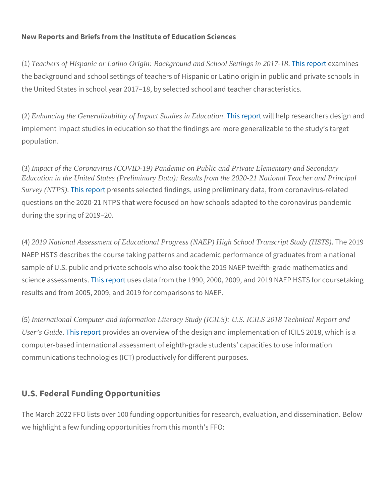New Reports and Briefs from the Institute of Education Sciences

(1) 1) Theachers of Hispanic or Latino Origin: Background and School Settings in 2001[. This re](http://send.srcd.org/link.cfm?r=gODwiyBT3eY6bLrA7DxAnw~~&pe=Ks7S_TNNWH-nCqFZ4duK0KJpz_jo6kSz144WqHWzKpl914H90RvEVbDIHD41kqf1-fDFxba7F59t2UN1z_zrYQ~~&t=INSERT_TRACKING_ENCID)port atm in estingular to  $\mu$ the background and school settings of teachers of Hispanic or Latin the United States in school year 2017 18, by selected school and te

(2E) anhancing the Generalizability of Impact Studies in Education is report it help researchers design and the implement impact studies in education so that the findings are more population.

(3) 3 Impact of the Coronavirus (COVID-19) Pandemic on Public and Private Elementary and Secondary Education in the United States (Preliminary Data): Results from the 2020-21 National Teacher and Principal Survey (NTPS[\)](http://send.srcd.org/link.cfm?r=gODwiyBT3eY6bLrA7DxAnw~~&pe=Hf_fg2LICL0zNua-_-iExd0dpLYE0aX5aOibO4r1zE8GhlhkhGxNV2YQ2dIaIqi1A3XGAvzZ0ck3hRBl4uCSUA~~&t=INSERT_TRACKING_ENCID)This repoetsents selected findings, using preliminary data, questions on the 2020-21 NTPS that were focused on how schools a during the spring of 2019 20.

(42019 National Assessment of Educational Progress (NAEP) High School Transcript Study (HSTS) 2019 NAEP HSTS describes the course taking patterns and academic performance the control of  $q$ sample of U.S. public and private schools who also took the 2019 N science assessimsenesus ets data from the 1990, 2000, 2009, and 2019 results and from 2005, 2009, and 2019 for comparisons to NAEP.

(5) International Computer and Information Literacy Study (ICILS): U.S. ICILS 2018 Technical Report and User's Guide[. This re](http://send.srcd.org/link.cfm?r=gODwiyBT3eY6bLrA7DxAnw~~&pe=H3CGzJCu6lfb1D9NJnsQ-4hk9xYVHfAQVS4Fncouvj1fUoep8p2fWLXzxvdhnSt_EEokEUuHxPU86spxCEtP1A~~&t=INSERT_TRACKING_ENCID)poot ides an overview of the design and implementat computer-based international assessment of eighth-grade students communications technologies (ICT) productively for different purpo

## U.S. Federal Funding Opportunities

The March 2022 FFO lists over 100 funding opportunities for resear we highlight a few funding opportunities from this month's FFO: